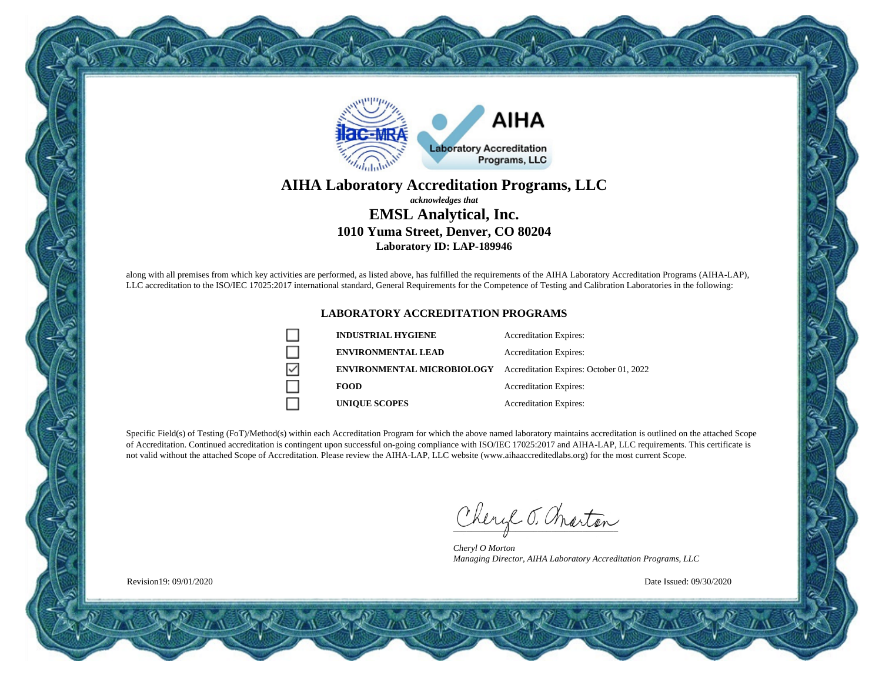

#### **AIHA Laboratory Accreditation Programs, LLC** *acknowledges that* **EMSL Analytical, Inc. 1010 Yuma Street, Denver, CO 80204 Laboratory ID: LAP-189946**

along with all premises from which key activities are performed, as listed above, has fulfilled the requirements of the AIHA Laboratory Accreditation Programs (AIHA-LAP), LLC accreditation to the ISO/IEC 17025:2017 international standard, General Requirements for the Competence of Testing and Calibration Laboratories in the following:

#### **LABORATORY ACCREDITATION PROGRAMS**

|   | <b>INDUSTRIAL HYGIENE</b>         | <b>Accreditation Expires:</b>           |
|---|-----------------------------------|-----------------------------------------|
|   | <b>ENVIRONMENTAL LEAD</b>         | <b>Accreditation Expires:</b>           |
| ∇ | <b>ENVIRONMENTAL MICROBIOLOGY</b> | Accreditation Expires: October 01, 2022 |
|   | <b>FOOD</b>                       | <b>Accreditation Expires:</b>           |
|   | <b>UNIQUE SCOPES</b>              | <b>Accreditation Expires:</b>           |

Specific Field(s) of Testing (FoT)/Method(s) within each Accreditation Program for which the above named laboratory maintains accreditation is outlined on the attached Scope of Accreditation. Continued accreditation is contingent upon successful on-going compliance with ISO/IEC 17025:2017 and AIHA-LAP, LLC requirements. This certificate is not valid without the attached Scope of Accreditation. Please review the AIHA-LAP, LLC website (www.aihaaccreditedlabs.org) for the most current Scope.

Cheryl J. Charton

*Cheryl O Morton Managing Director, AIHA Laboratory Accreditation Programs, LLC*

Date Issued: 09/30/2020

Revision19: 09/01/2020